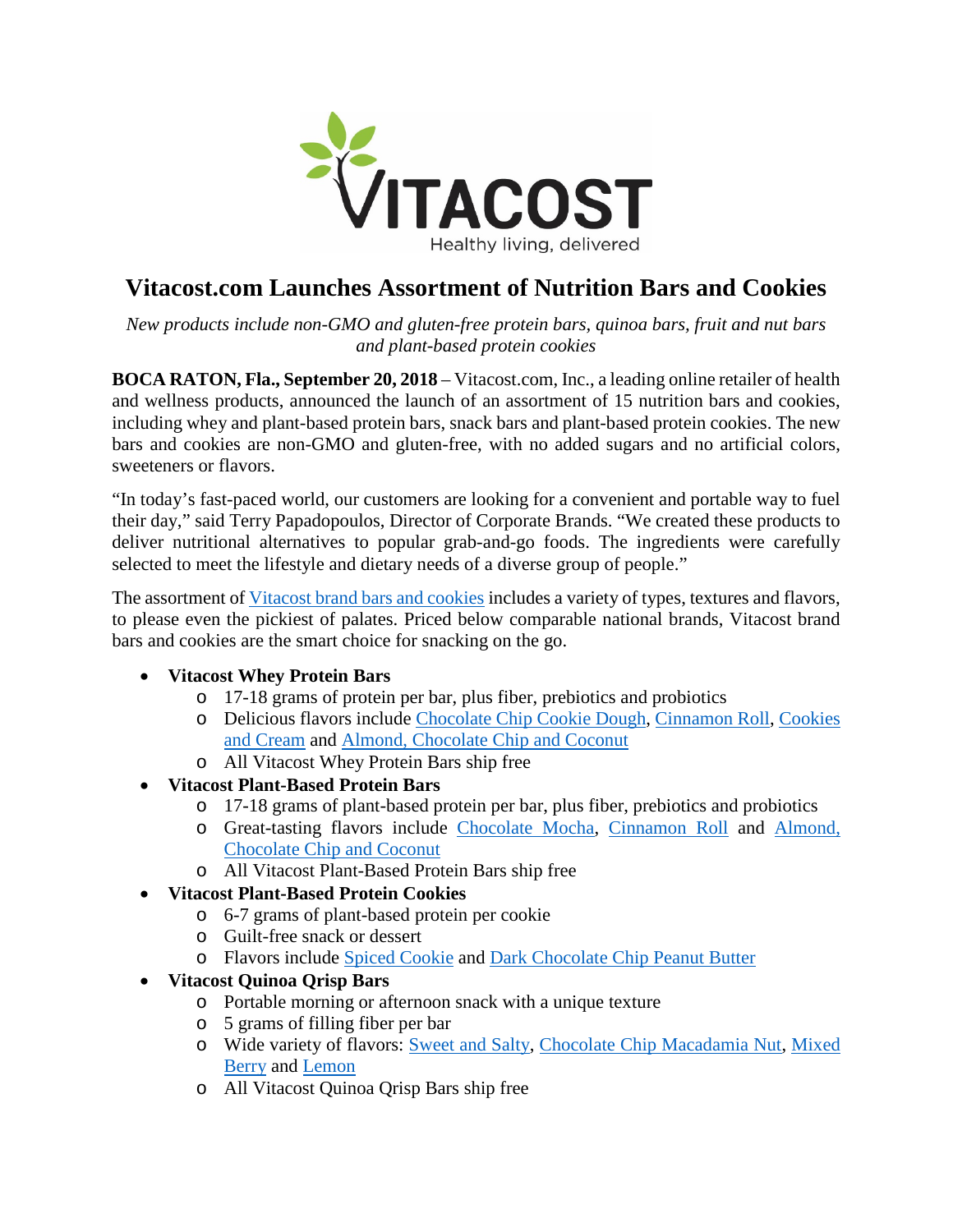

## **Vitacost.com Launches Assortment of Nutrition Bars and Cookies**

*New products include non-GMO and gluten-free protein bars, quinoa bars, fruit and nut bars and plant-based protein cookies*

**BOCA RATON, Fla., September 20, 2018** – Vitacost.com, Inc., a leading online retailer of health and wellness products, announced the launch of an assortment of 15 nutrition bars and cookies, including whey and plant-based protein bars, snack bars and plant-based protein cookies. The new bars and cookies are non-GMO and gluten-free, with no added sugars and no artificial colors, sweeteners or flavors.

"In today's fast-paced world, our customers are looking for a convenient and portable way to fuel their day," said Terry Papadopoulos, Director of Corporate Brands. "We created these products to deliver nutritional alternatives to popular grab-and-go foods. The ingredients were carefully selected to meet the lifestyle and dietary needs of a diverse group of people."

The assortment of [Vitacost brand bars and cookies](http://www.vitacost.com/vitacost-bars-1) includes a variety of types, textures and flavors, to please even the pickiest of palates. Priced below comparable national brands, Vitacost brand bars and cookies are the smart choice for snacking on the go.

## • **Vitacost Whey Protein Bars**

- o 17-18 grams of protein per bar, plus fiber, prebiotics and probiotics
- o Delicious flavors include [Chocolate Chip Cookie Dough,](https://www.vitacost.com/vitacost-whey-protein-bar-chocolate-chip-cookie-dough) [Cinnamon Roll,](https://www.vitacost.com/vitacost-whey-protein-bar-cinnamon-roll) [Cookies](https://www.vitacost.com/vitacost-whey-protein-bar)  [and Cream](https://www.vitacost.com/vitacost-whey-protein-bar) and [Almond, Chocolate Chip and Coconut](https://www.vitacost.com/vitacost-whey-protein-bar-almond-chocolate-chip-coconut)
- o All Vitacost Whey Protein Bars ship free
- **Vitacost Plant-Based Protein Bars** 
	- o 17-18 grams of plant-based protein per bar, plus fiber, prebiotics and probiotics
	- o Great-tasting flavors include [Chocolate Mocha,](https://www.vitacost.com/vitacost-plant-protein-bar) [Cinnamon Roll](https://www.vitacost.com/vitacost-plant-protein-bar-cinnamon-roll) and [Almond,](https://www.vitacost.com/vitacost-plant-protein-bar-almond-chocolate-chip-coconut)  [Chocolate Chip and Coconut](https://www.vitacost.com/vitacost-plant-protein-bar-almond-chocolate-chip-coconut)
	- o All Vitacost Plant-Based Protein Bars ship free
- **Vitacost Plant-Based Protein Cookies**
	- o 6-7 grams of plant-based protein per cookie
	- o Guilt-free snack or dessert
	- o Flavors include [Spiced Cookie](https://www.vitacost.com/vitacost-plant-protein-cookie-spiced-cookie) and [Dark Chocolate Chip Peanut Butter](https://www.vitacost.com/vitacost-plant-protein-cookie)
- **Vitacost Quinoa Qrisp Bars**
	- o Portable morning or afternoon snack with a unique texture
	- o 5 grams of filling fiber per bar
	- o Wide variety of flavors: [Sweet and Salty,](https://www.vitacost.com/vitacost-quinoa-qrisp-bar) [Chocolate Chip Macadamia Nut,](https://www.vitacost.com/vitacost-quinoa-qrisp-bar-chocolate-chip-macadamia-nut) [Mixed](https://www.vitacost.com/vitacost-quinoa-qrisp-bar-mixed-berry)  [Berry](https://www.vitacost.com/vitacost-quinoa-qrisp-bar-mixed-berry) and [Lemon](https://www.vitacost.com/vitacost-quinoa-qrisp-bar-lemon)
	- o All Vitacost Quinoa Qrisp Bars ship free